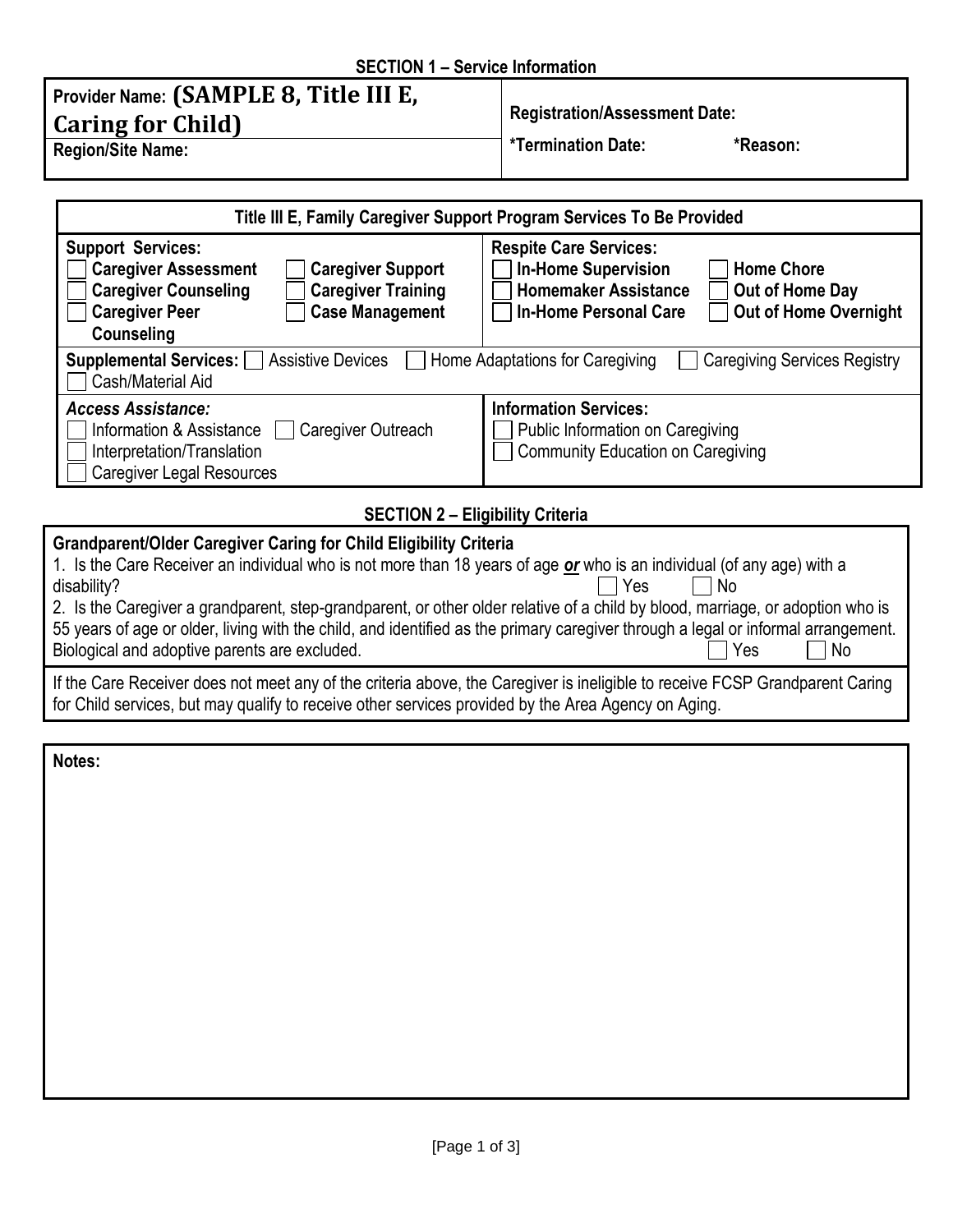## **SECTION 1 – Service Information**

| Provider Name: (SAMPLE 8, Title III E,<br><b>Caring for Child</b> | <b>Registration/Assessment Date:</b> |          |
|-------------------------------------------------------------------|--------------------------------------|----------|
| <b>Region/Site Name:</b>                                          | <b>*Termination Date:</b>            | *Reason: |

| Title III E, Family Caregiver Support Program Services To Be Provided                                                                                                                                                                                                                                                                                                                                                                                                                                                                                                      |                                                                                                                                                                                                    |  |  |  |
|----------------------------------------------------------------------------------------------------------------------------------------------------------------------------------------------------------------------------------------------------------------------------------------------------------------------------------------------------------------------------------------------------------------------------------------------------------------------------------------------------------------------------------------------------------------------------|----------------------------------------------------------------------------------------------------------------------------------------------------------------------------------------------------|--|--|--|
| <b>Support Services:</b><br><b>Caregiver Assessment</b><br><b>Caregiver Support</b><br><b>Caregiver Counseling</b><br><b>Caregiver Training</b><br><b>Caregiver Peer</b><br><b>Case Management</b><br>Counseling                                                                                                                                                                                                                                                                                                                                                           | <b>Respite Care Services:</b><br><b>In-Home Supervision</b><br><b>Home Chore</b><br><b>Homemaker Assistance</b><br>Out of Home Day<br><b>Out of Home Overnight</b><br><b>In-Home Personal Care</b> |  |  |  |
| <b>Supplemental Services:</b><br><b>Assistive Devices</b><br>Home Adaptations for Caregiving<br><b>Caregiving Services Registry</b><br>Cash/Material Aid                                                                                                                                                                                                                                                                                                                                                                                                                   |                                                                                                                                                                                                    |  |  |  |
| <b>Access Assistance:</b><br>Information & Assistance<br>Caregiver Outreach<br>Interpretation/Translation<br><b>Caregiver Legal Resources</b>                                                                                                                                                                                                                                                                                                                                                                                                                              | <b>Information Services:</b><br>Public Information on Caregiving<br><b>Community Education on Caregiving</b>                                                                                       |  |  |  |
| <b>SECTION 2 - Eligibility Criteria</b>                                                                                                                                                                                                                                                                                                                                                                                                                                                                                                                                    |                                                                                                                                                                                                    |  |  |  |
| <b>Grandparent/Older Caregiver Caring for Child Eligibility Criteria</b><br>1. Is the Care Receiver an individual who is not more than 18 years of age or who is an individual (of any age) with a<br><b>No</b><br>disability?<br>Yes<br>2. Is the Caregiver a grandparent, step-grandparent, or other older relative of a child by blood, marriage, or adoption who is<br>55 years of age or older, living with the child, and identified as the primary caregiver through a legal or informal arrangement.<br>Biological and adoptive parents are excluded.<br>Yes<br>No |                                                                                                                                                                                                    |  |  |  |
| If the Care Receiver does not meet any of the criteria above the Caregiver is ineligible to receive FCSP Grandparent Caring                                                                                                                                                                                                                                                                                                                                                                                                                                                |                                                                                                                                                                                                    |  |  |  |

If the Care Receiver does not meet any of the criteria above, the Caregiver is ineligible to receive FCSP Grandparent Caring for Child services, but may qualify to receive other services provided by the Area Agency on Aging.

**Notes:**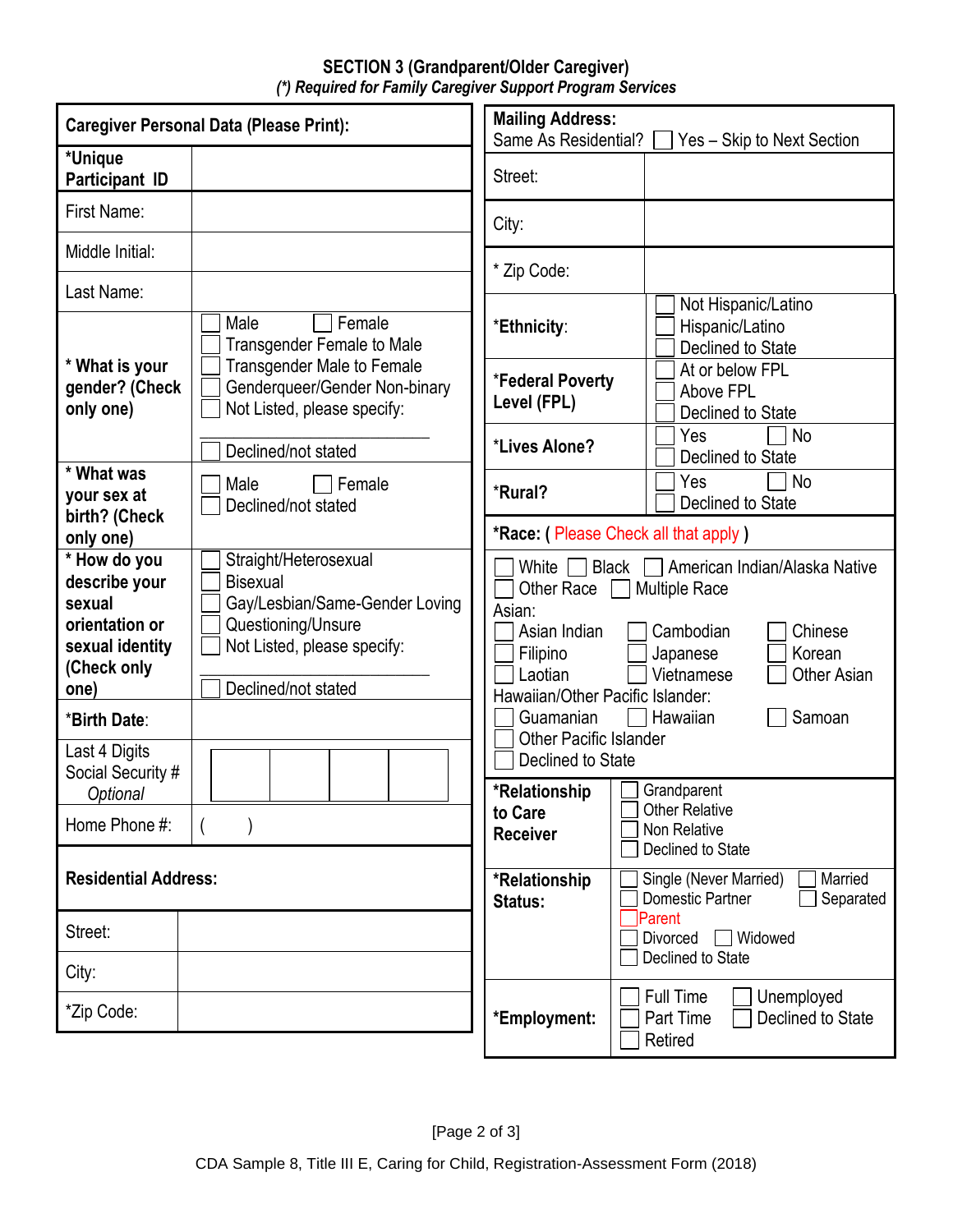## **SECTION 3 (Grandparent/Older Caregiver)** *(\*) Required for Family Caregiver Support Program Services*

| <b>Caregiver Personal Data (Please Print):</b>                                                      |                                                                                                                                                        | <b>Mailing Address:</b><br>Same As Residential?<br>Yes - Skip to Next Section                                                                                                                                                                                         |                                                                    |  |
|-----------------------------------------------------------------------------------------------------|--------------------------------------------------------------------------------------------------------------------------------------------------------|-----------------------------------------------------------------------------------------------------------------------------------------------------------------------------------------------------------------------------------------------------------------------|--------------------------------------------------------------------|--|
| *Unique<br>Participant ID                                                                           |                                                                                                                                                        | Street:                                                                                                                                                                                                                                                               |                                                                    |  |
| First Name:                                                                                         |                                                                                                                                                        | City:                                                                                                                                                                                                                                                                 |                                                                    |  |
| Middle Initial:                                                                                     |                                                                                                                                                        | * Zip Code:                                                                                                                                                                                                                                                           |                                                                    |  |
| Last Name:                                                                                          |                                                                                                                                                        |                                                                                                                                                                                                                                                                       | Not Hispanic/Latino                                                |  |
|                                                                                                     | Female<br>Male<br><b>Transgender Female to Male</b>                                                                                                    | *Ethnicity:                                                                                                                                                                                                                                                           | Hispanic/Latino<br>Declined to State                               |  |
| * What is your<br>gender? (Check<br>only one)                                                       | <b>Transgender Male to Female</b><br>Genderqueer/Gender Non-binary<br>Not Listed, please specify:                                                      | *Federal Poverty<br>Level (FPL)                                                                                                                                                                                                                                       | At or below FPL<br>Above FPL<br>Declined to State                  |  |
|                                                                                                     | Declined/not stated                                                                                                                                    | *Lives Alone?                                                                                                                                                                                                                                                         | Yes<br>No<br>Declined to State                                     |  |
| * What was<br>your sex at<br>birth? (Check                                                          | Male<br>Female<br>Declined/not stated                                                                                                                  | *Rural?                                                                                                                                                                                                                                                               | <b>No</b><br>Yes<br>Declined to State                              |  |
| only one)                                                                                           |                                                                                                                                                        | *Race: (Please Check all that apply)                                                                                                                                                                                                                                  |                                                                    |  |
| * How do you<br>describe your<br>sexual<br>orientation or<br>sexual identity<br>(Check only<br>one) | Straight/Heterosexual<br><b>Bisexual</b><br>Gay/Lesbian/Same-Gender Loving<br>Questioning/Unsure<br>Not Listed, please specify:<br>Declined/not stated | White [<br>American Indian/Alaska Native<br><b>Black</b><br><b>Multiple Race</b><br>Other Race<br>Asian:<br>Asian Indian<br>Cambodian<br>Chinese<br>Korean<br>Filipino<br>Japanese<br>Vietnamese<br>Laotian<br><b>Other Asian</b><br>Hawaiian/Other Pacific Islander: |                                                                    |  |
| *Birth Date:                                                                                        |                                                                                                                                                        | Guamanian                                                                                                                                                                                                                                                             | Samoan<br>Hawaiian                                                 |  |
| Last 4 Digits<br>Social Security #<br>Optional                                                      |                                                                                                                                                        | <b>Other Pacific Islander</b><br>Declined to State<br>*Relationship                                                                                                                                                                                                   | Grandparent                                                        |  |
| Home Phone #:                                                                                       |                                                                                                                                                        | to Care<br><b>Receiver</b>                                                                                                                                                                                                                                            | <b>Other Relative</b><br>Non Relative<br>Declined to State         |  |
| <b>Residential Address:</b>                                                                         |                                                                                                                                                        | *Relationship<br>Status:                                                                                                                                                                                                                                              | Single (Never Married)<br>Married<br>Separated<br>Domestic Partner |  |
| Street:                                                                                             |                                                                                                                                                        |                                                                                                                                                                                                                                                                       | Parent<br>Divorced<br>□ Widowed<br>Declined to State               |  |
| City:                                                                                               |                                                                                                                                                        |                                                                                                                                                                                                                                                                       | Full Time<br>Unemployed                                            |  |
| *Zip Code:                                                                                          |                                                                                                                                                        | *Employment:                                                                                                                                                                                                                                                          | Part Time<br>Declined to State<br>Retired                          |  |